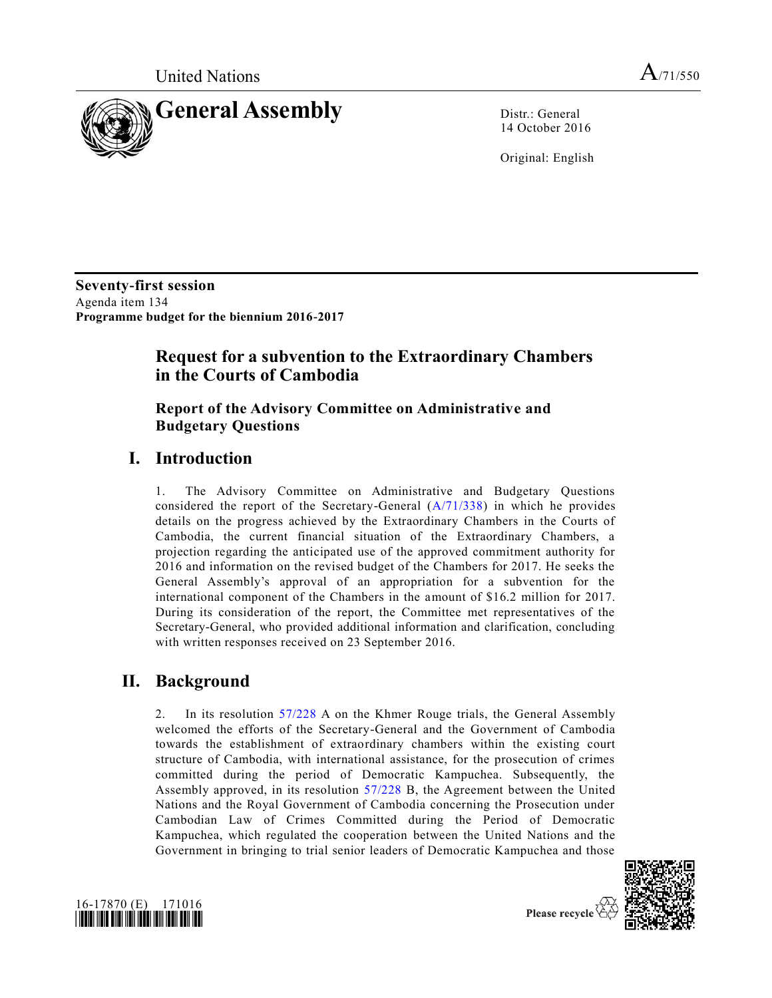

14 October 2016

Original: English

**Seventy-first session** Agenda item 134 **Programme budget for the biennium 2016-2017**

# **Request for a subvention to the Extraordinary Chambers in the Courts of Cambodia**

### **Report of the Advisory Committee on Administrative and Budgetary Questions**

## **I. Introduction**

1. The Advisory Committee on Administrative and Budgetary Questions considered the report of the Secretary-General [\(A/71/338\)](http://undocs.org/A/71/338) in which he provides details on the progress achieved by the Extraordinary Chambers in the Courts of Cambodia, the current financial situation of the Extraordinary Chambers, a projection regarding the anticipated use of the approved commitment authority for 2016 and information on the revised budget of the Chambers for 2017. He seeks the General Assembly's approval of an appropriation for a subvention for the international component of the Chambers in the amount of \$16.2 million for 2017. During its consideration of the report, the Committee met representatives of the Secretary-General, who provided additional information and clarification, concluding with written responses received on 23 September 2016.

# **II. Background**

2. In its resolution [57/228](http://undocs.org/A/RES/57/228) A on the Khmer Rouge trials, the General Assembly welcomed the efforts of the Secretary-General and the Government of Cambodia towards the establishment of extraordinary chambers within the existing court structure of Cambodia, with international assistance, for the prosecution of crimes committed during the period of Democratic Kampuchea. Subsequently, the Assembly approved, in its resolution [57/228](http://undocs.org/A/RES/57/228) B, the Agreement between the United Nations and the Royal Government of Cambodia concerning the Prosecution under Cambodian Law of Crimes Committed during the Period of Democratic Kampuchea, which regulated the cooperation between the United Nations and the Government in bringing to trial senior leaders of Democratic Kampuchea and those



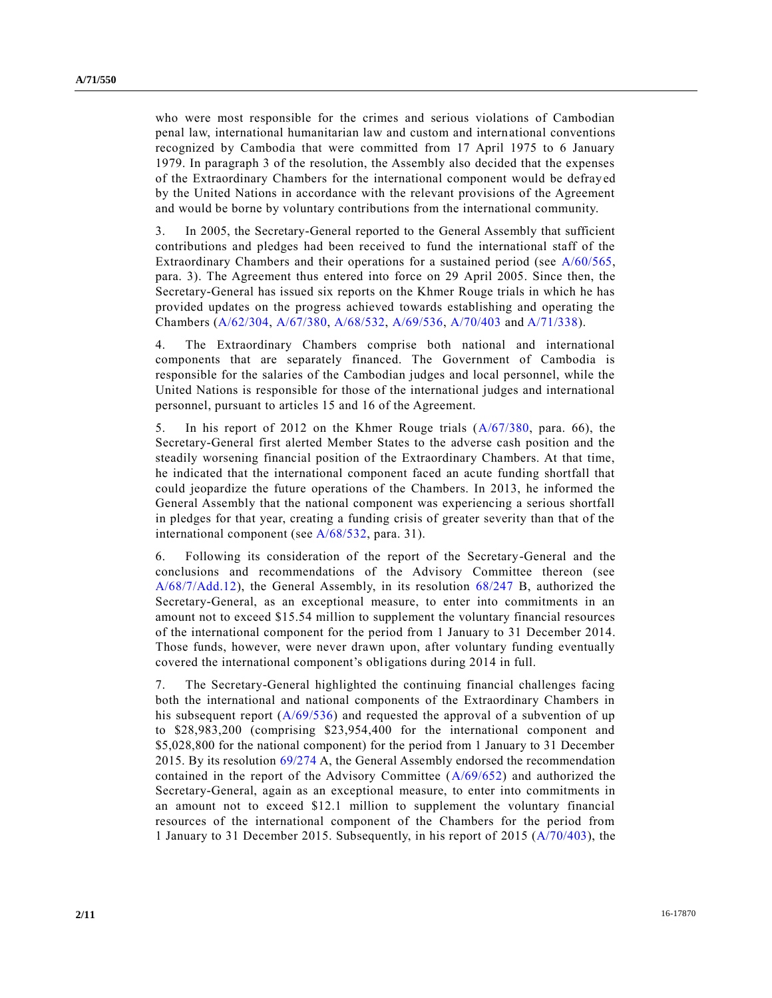who were most responsible for the crimes and serious violations of Cambodian penal law, international humanitarian law and custom and international conventions recognized by Cambodia that were committed from 17 April 1975 to 6 January 1979. In paragraph 3 of the resolution, the Assembly also decided that the expenses of the Extraordinary Chambers for the international component would be defrayed by the United Nations in accordance with the relevant provisions of the Agreement and would be borne by voluntary contributions from the international community.

3. In 2005, the Secretary-General reported to the General Assembly that sufficient contributions and pledges had been received to fund the international staff of the Extraordinary Chambers and their operations for a sustained period (see [A/60/565,](http://undocs.org/A/60/565) para. 3). The Agreement thus entered into force on 29 April 2005. Since then, the Secretary-General has issued six reports on the Khmer Rouge trials in which he has provided updates on the progress achieved towards establishing and operating the Chambers [\(A/62/304,](http://undocs.org/A/62/304) [A/67/380,](http://undocs.org/A/67/380) [A/68/532,](http://undocs.org/A/68/532) [A/69/536,](http://undocs.org/A/69/536) [A/70/403](http://undocs.org/A/70/403) and [A/71/338\)](http://undocs.org/A/71/338).

4. The Extraordinary Chambers comprise both national and international components that are separately financed. The Government of Cambodia is responsible for the salaries of the Cambodian judges and local personnel, while the United Nations is responsible for those of the international judges and international personnel, pursuant to articles 15 and 16 of the Agreement.

5. In his report of 2012 on the Khmer Rouge trials [\(A/67/380,](http://undocs.org/A/67/380) para. 66), the Secretary-General first alerted Member States to the adverse cash position and the steadily worsening financial position of the Extraordinary Chambers. At that time, he indicated that the international component faced an acute funding shortfall that could jeopardize the future operations of the Chambers. In 2013, he informed the General Assembly that the national component was experiencing a serious shortfall in pledges for that year, creating a funding crisis of greater severity than that of the international component (se[e A/68/532,](http://undocs.org/A/68/532) para. 31).

6. Following its consideration of the report of the Secretary-General and the conclusions and recommendations of the Advisory Committee thereon (see [A/68/7/Add.12\)](http://undocs.org/A/68/7/Add.12), the General Assembly, in its resolution [68/247](http://undocs.org/A/RES/68/247) B, authorized the Secretary-General, as an exceptional measure, to enter into commitments in an amount not to exceed \$15.54 million to supplement the voluntary financial resources of the international component for the period from 1 January to 31 December 2014. Those funds, however, were never drawn upon, after voluntary funding eventually covered the international component's obligations during 2014 in full.

7. The Secretary-General highlighted the continuing financial challenges facing both the international and national components of the Extraordinary Chambers in his subsequent report  $(A/69/536)$  and requested the approval of a subvention of up to \$28,983,200 (comprising \$23,954,400 for the international component and \$5,028,800 for the national component) for the period from 1 January to 31 December 2015. By its resolution [69/274](http://undocs.org/A/RES/69/274) A, the General Assembly endorsed the recommendation contained in the report of the Advisory Committee [\(A/69/652\)](http://undocs.org/A/69/652) and authorized the Secretary-General, again as an exceptional measure, to enter into commitments in an amount not to exceed \$12.1 million to supplement the voluntary financial resources of the international component of the Chambers for the period from 1 January to 31 December 2015. Subsequently, in his report of 2015 [\(A/70/403\)](http://undocs.org/A/70/403), the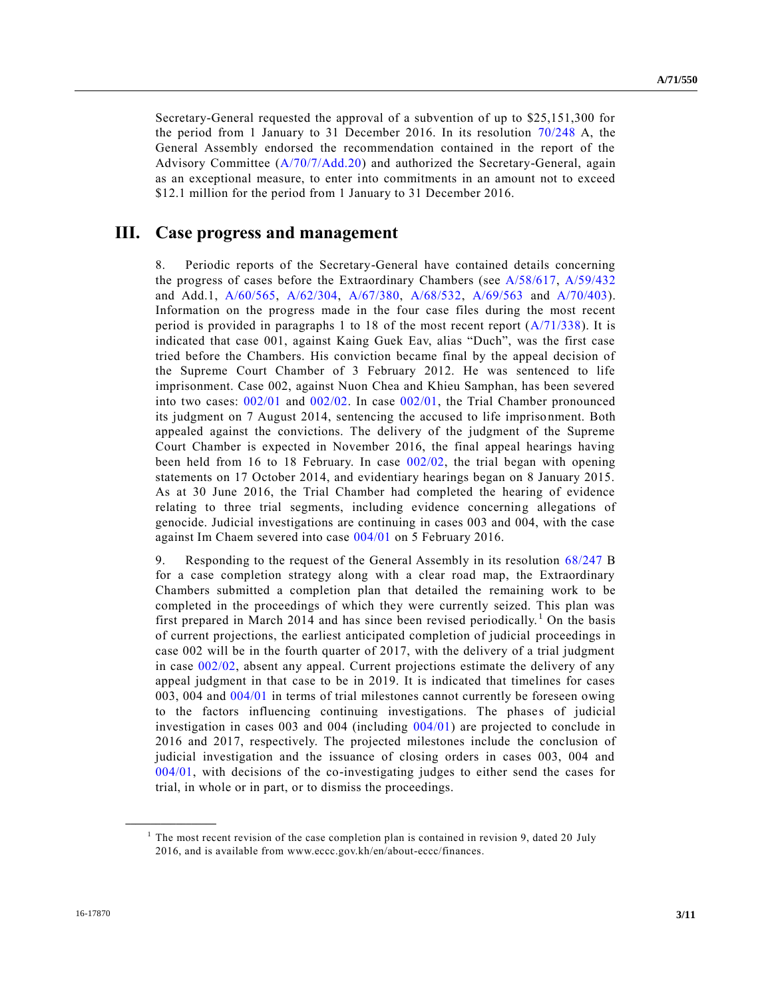Secretary-General requested the approval of a subvention of up to \$25,151,300 for the period from 1 January to 31 December 2016. In its resolution [70/248](http://undocs.org/A/RES/70/248) A, the General Assembly endorsed the recommendation contained in the report of the Advisory Committee [\(A/70/7/Add.20\)](http://undocs.org/A/70/7/Add.20) and authorized the Secretary-General, again as an exceptional measure, to enter into commitments in an amount not to exceed \$12.1 million for the period from 1 January to 31 December 2016.

### **III. Case progress and management**

8. Periodic reports of the Secretary-General have contained details concerning the progress of cases before the Extraordinary Chambers (see [A/58/617,](http://undocs.org/A/58/617) [A/59/432](http://undocs.org/A/59/432) and Add.1, [A/60/565,](http://undocs.org/A/60/565) [A/62/304,](http://undocs.org/A/62/304) [A/67/380,](http://undocs.org/A/67/380) [A/68/532,](http://undocs.org/A/68/532) [A/69/563](http://undocs.org/A/69/563) and [A/70/403\)](http://undocs.org/A/70/403). Information on the progress made in the four case files during the most recent period is provided in paragraphs 1 to 18 of the most recent report [\(A/71/338\)](http://undocs.org/A/71/338). It is indicated that case 001, against Kaing Guek Eav, alias "Duch", was the first case tried before the Chambers. His conviction became final by the appeal decision of the Supreme Court Chamber of 3 February 2012. He was sentenced to life imprisonment. Case 002, against Nuon Chea and Khieu Samphan, has been severed into two cases: [002/01](http://undocs.org/A/RES/002/01) and [002/02.](http://undocs.org/A/RES/002/02) In case [002/01,](http://undocs.org/A/RES/002/01) the Trial Chamber pronounced its judgment on 7 August 2014, sentencing the accused to life imprisonment. Both appealed against the convictions. The delivery of the judgment of the Supreme Court Chamber is expected in November 2016, the final appeal hearings having been held from 16 to 18 February. In case [002/02,](http://undocs.org/A/RES/002/02) the trial began with opening statements on 17 October 2014, and evidentiary hearings began on 8 January 2015. As at 30 June 2016, the Trial Chamber had completed the hearing of evidence relating to three trial segments, including evidence concerning allegations of genocide. Judicial investigations are continuing in cases 003 and 004, with the case against Im Chaem severed into case [004/01](http://undocs.org/A/RES/004/01) on 5 February 2016.

9. Responding to the request of the General Assembly in its resolution [68/247](http://undocs.org/A/RES/68/247) B for a case completion strategy along with a clear road map, the Extraordinary Chambers submitted a completion plan that detailed the remaining work to be completed in the proceedings of which they were currently seized. This plan was first prepared in March 2014 and has since been revised periodically.<sup>1</sup> On the basis of current projections, the earliest anticipated completion of judicial proceedings in case 002 will be in the fourth quarter of 2017, with the delivery of a trial judgment in case [002/02,](http://undocs.org/A/RES/002/02) absent any appeal. Current projections estimate the delivery of any appeal judgment in that case to be in 2019. It is indicated that timelines for cases 003, 004 and [004/01](http://undocs.org/A/RES/004/01) in terms of trial milestones cannot currently be foreseen owing to the factors influencing continuing investigations. The phases of judicial investigation in cases 003 and 004 (including [004/01\)](http://undocs.org/A/RES/004/01) are projected to conclude in 2016 and 2017, respectively. The projected milestones include the conclusion of judicial investigation and the issuance of closing orders in cases 003, 004 and [004/01,](http://undocs.org/A/RES/004/01) with decisions of the co-investigating judges to either send the cases for trial, in whole or in part, or to dismiss the proceedings.

**\_\_\_\_\_\_\_\_\_\_\_\_\_\_\_\_\_\_**

<sup>&</sup>lt;sup>1</sup> The most recent revision of the case completion plan is contained in revision 9, dated 20 July 2016, and is available from www.eccc.gov.kh/en/about-eccc/finances.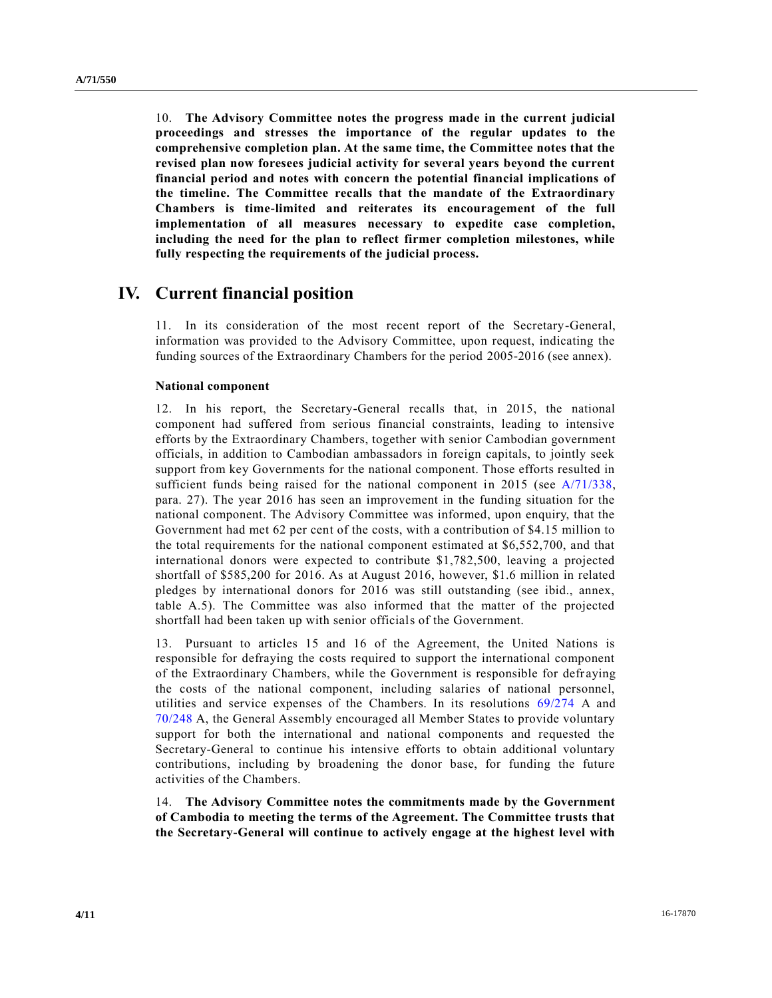10. **The Advisory Committee notes the progress made in the current judicial proceedings and stresses the importance of the regular updates to the comprehensive completion plan. At the same time, the Committee notes that the revised plan now foresees judicial activity for several years beyond the current financial period and notes with concern the potential financial implications of the timeline. The Committee recalls that the mandate of the Extraordinary Chambers is time-limited and reiterates its encouragement of the full implementation of all measures necessary to expedite case completion, including the need for the plan to reflect firmer completion milestones, while fully respecting the requirements of the judicial process.**

## **IV. Current financial position**

11. In its consideration of the most recent report of the Secretary-General, information was provided to the Advisory Committee, upon request, indicating the funding sources of the Extraordinary Chambers for the period 2005-2016 (see annex).

#### **National component**

12. In his report, the Secretary-General recalls that, in 2015, the national component had suffered from serious financial constraints, leading to intensive efforts by the Extraordinary Chambers, together with senior Cambodian government officials, in addition to Cambodian ambassadors in foreign capitals, to jointly seek support from key Governments for the national component. Those efforts resulted in sufficient funds being raised for the national component in 2015 (see [A/71/338,](http://undocs.org/A/71/338) para. 27). The year 2016 has seen an improvement in the funding situation for the national component. The Advisory Committee was informed, upon enquiry, that the Government had met 62 per cent of the costs, with a contribution of \$4.15 million to the total requirements for the national component estimated at \$6,552,700, and that international donors were expected to contribute \$1,782,500, leaving a projected shortfall of \$585,200 for 2016. As at August 2016, however, \$1.6 million in related pledges by international donors for 2016 was still outstanding (see ibid., annex, table A.5). The Committee was also informed that the matter of the projected shortfall had been taken up with senior officials of the Government.

13. Pursuant to articles 15 and 16 of the Agreement, the United Nations is responsible for defraying the costs required to support the international component of the Extraordinary Chambers, while the Government is responsible for defraying the costs of the national component, including salaries of national personnel, utilities and service expenses of the Chambers. In its resolutions [69/274](http://undocs.org/A/RES/69/274) A and [70/248](http://undocs.org/A/RES/70/248) A, the General Assembly encouraged all Member States to provide voluntary support for both the international and national components and requested the Secretary-General to continue his intensive efforts to obtain additional voluntary contributions, including by broadening the donor base, for funding the future activities of the Chambers.

14. **The Advisory Committee notes the commitments made by the Government of Cambodia to meeting the terms of the Agreement. The Committee trusts that the Secretary-General will continue to actively engage at the highest level with**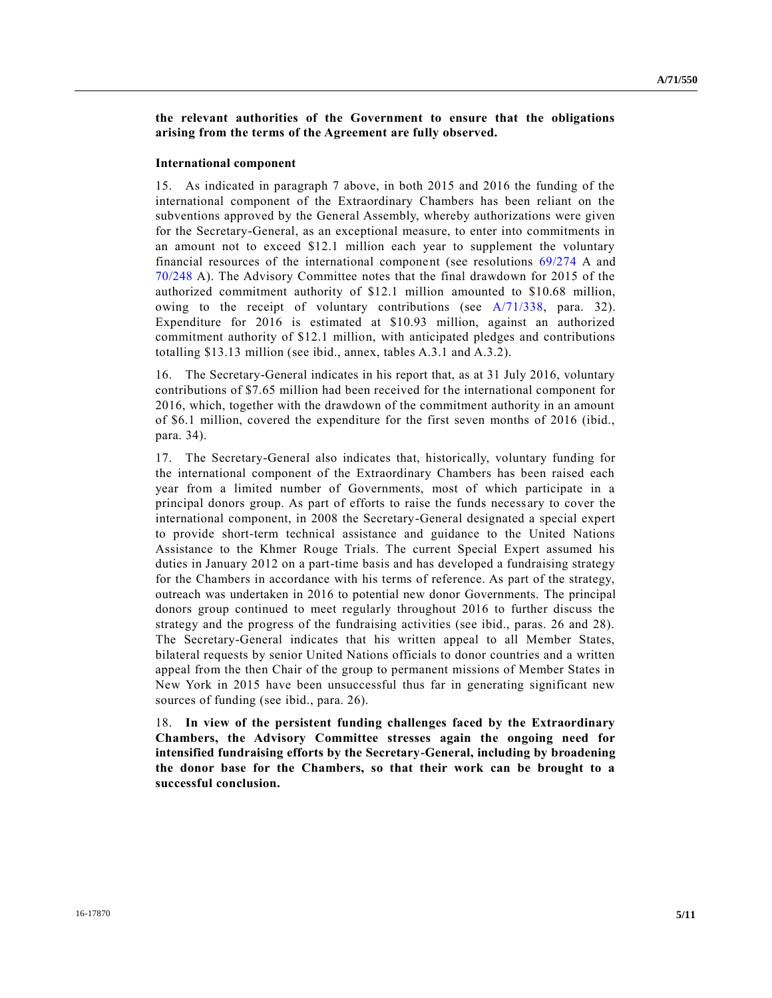**the relevant authorities of the Government to ensure that the obligations arising from the terms of the Agreement are fully observed.**

#### **International component**

15. As indicated in paragraph 7 above, in both 2015 and 2016 the funding of the international component of the Extraordinary Chambers has been reliant on the subventions approved by the General Assembly, whereby authorizations were given for the Secretary-General, as an exceptional measure, to enter into commitments in an amount not to exceed \$12.1 million each year to supplement the voluntary financial resources of the international component (see resolutions [69/274](http://undocs.org/A/RES/69/274) A and [70/248](http://undocs.org/A/RES/70/248) A). The Advisory Committee notes that the final drawdown for 2015 of the authorized commitment authority of \$12.1 million amounted to \$10.68 million, owing to the receipt of voluntary contributions (see  $A/71/338$ , para. 32). Expenditure for 2016 is estimated at \$10.93 million, against an authorized commitment authority of \$12.1 million, with anticipated pledges and contributions totalling \$13.13 million (see ibid., annex, tables A.3.1 and A.3.2).

16. The Secretary-General indicates in his report that, as at 31 July 2016, voluntary contributions of \$7.65 million had been received for the international component for 2016, which, together with the drawdown of the commitment authority in an amount of \$6.1 million, covered the expenditure for the first seven months of 2016 (ibid., para. 34).

17. The Secretary-General also indicates that, historically, voluntary funding for the international component of the Extraordinary Chambers has been raised each year from a limited number of Governments, most of which participate in a principal donors group. As part of efforts to raise the funds necessary to cover the international component, in 2008 the Secretary-General designated a special expert to provide short-term technical assistance and guidance to the United Nations Assistance to the Khmer Rouge Trials. The current Special Expert assumed his duties in January 2012 on a part-time basis and has developed a fundraising strategy for the Chambers in accordance with his terms of reference. As part of the strategy, outreach was undertaken in 2016 to potential new donor Governments. The principal donors group continued to meet regularly throughout 2016 to further discuss the strategy and the progress of the fundraising activities (see ibid., paras. 26 and 28). The Secretary-General indicates that his written appeal to all Member States, bilateral requests by senior United Nations officials to donor countries and a written appeal from the then Chair of the group to permanent missions of Member States in New York in 2015 have been unsuccessful thus far in generating significant new sources of funding (see ibid., para. 26).

18. **In view of the persistent funding challenges faced by the Extraordinary Chambers, the Advisory Committee stresses again the ongoing need for intensified fundraising efforts by the Secretary-General, including by broadening the donor base for the Chambers, so that their work can be brought to a successful conclusion.**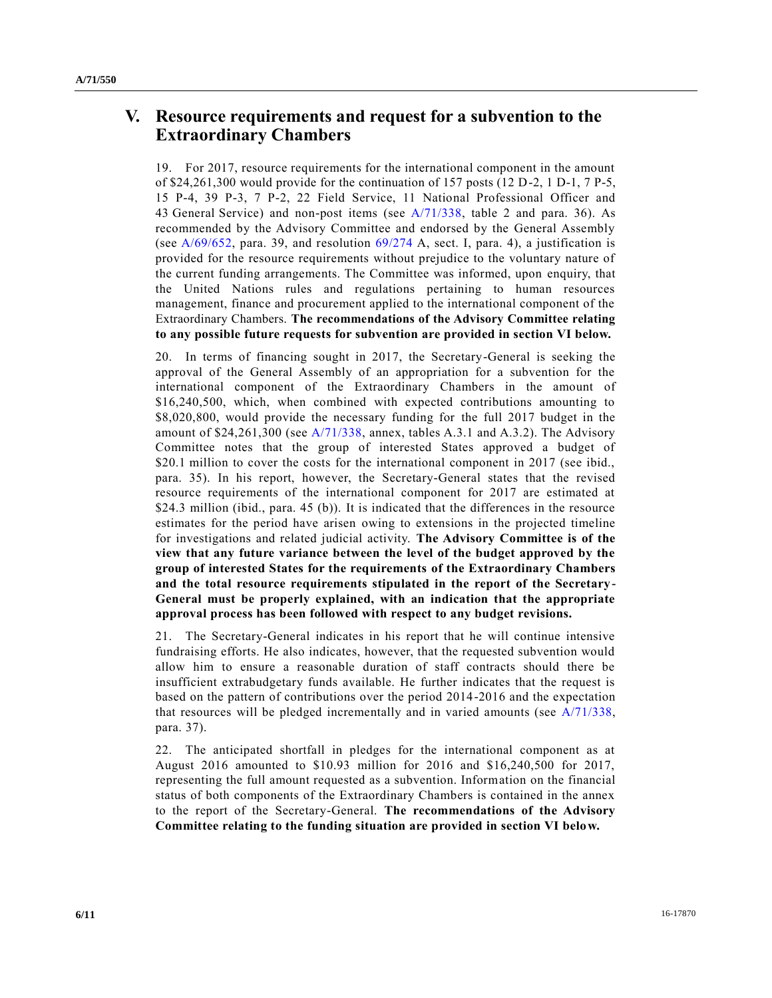## **V. Resource requirements and request for a subvention to the Extraordinary Chambers**

19. For 2017, resource requirements for the international component in the amount of \$24,261,300 would provide for the continuation of 157 posts (12 D-2, 1 D-1, 7 P-5, 15 P-4, 39 P-3, 7 P-2, 22 Field Service, 11 National Professional Officer and 43 General Service) and non-post items (see [A/71/338,](http://undocs.org/A/71/338) table 2 and para. 36). As recommended by the Advisory Committee and endorsed by the General Assembly (see  $A/69/652$ , para. 39, and resolution  $69/274$  A, sect. I, para. 4), a justification is provided for the resource requirements without prejudice to the voluntary nature of the current funding arrangements. The Committee was informed, upon enquiry, that the United Nations rules and regulations pertaining to human resources management, finance and procurement applied to the international component of the Extraordinary Chambers. **The recommendations of the Advisory Committee relating to any possible future requests for subvention are provided in section VI below.**

20. In terms of financing sought in 2017, the Secretary-General is seeking the approval of the General Assembly of an appropriation for a subvention for the international component of the Extraordinary Chambers in the amount of \$16,240,500, which, when combined with expected contributions amounting to \$8,020,800, would provide the necessary funding for the full 2017 budget in the amount of \$24,261,300 (see [A/71/338,](http://undocs.org/A/71/338) annex, tables A.3.1 and A.3.2). The Advisory Committee notes that the group of interested States approved a budget of \$20.1 million to cover the costs for the international component in 2017 (see ibid., para. 35). In his report, however, the Secretary-General states that the revised resource requirements of the international component for 2017 are estimated at \$24.3 million (ibid., para. 45 (b)). It is indicated that the differences in the resource estimates for the period have arisen owing to extensions in the projected timeline for investigations and related judicial activity. **The Advisory Committee is of the view that any future variance between the level of the budget approved by the group of interested States for the requirements of the Extraordinary Chambers and the total resource requirements stipulated in the report of the Secretary-General must be properly explained, with an indication that the appropriate approval process has been followed with respect to any budget revisions.**

21. The Secretary-General indicates in his report that he will continue intensive fundraising efforts. He also indicates, however, that the requested subvention would allow him to ensure a reasonable duration of staff contracts should there be insufficient extrabudgetary funds available. He further indicates that the request is based on the pattern of contributions over the period 2014-2016 and the expectation that resources will be pledged incrementally and in varied amounts (see [A/71/338,](http://undocs.org/A/71/338) para. 37).

22. The anticipated shortfall in pledges for the international component as at August 2016 amounted to \$10.93 million for 2016 and \$16,240,500 for 2017, representing the full amount requested as a subvention. Information on the financial status of both components of the Extraordinary Chambers is contained in the annex to the report of the Secretary-General. **The recommendations of the Advisory Committee relating to the funding situation are provided in section VI below.**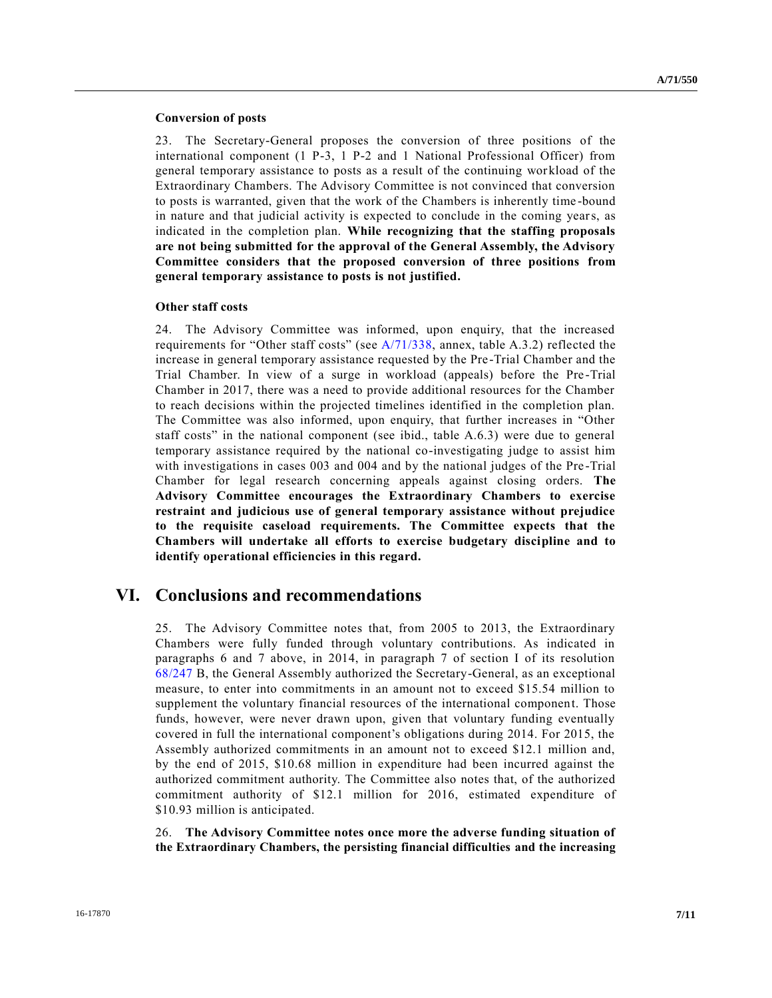#### **Conversion of posts**

23. The Secretary-General proposes the conversion of three positions of the international component (1 P-3, 1 P-2 and 1 National Professional Officer) from general temporary assistance to posts as a result of the continuing workload of the Extraordinary Chambers. The Advisory Committee is not convinced that conversion to posts is warranted, given that the work of the Chambers is inherently time -bound in nature and that judicial activity is expected to conclude in the coming years, as indicated in the completion plan. **While recognizing that the staffing proposals are not being submitted for the approval of the General Assembly, the Advisory Committee considers that the proposed conversion of three positions from general temporary assistance to posts is not justified.**

#### **Other staff costs**

24. The Advisory Committee was informed, upon enquiry, that the increased requirements for "Other staff costs" (see [A/71/338,](http://undocs.org/A/71/338) annex, table A.3.2) reflected the increase in general temporary assistance requested by the Pre-Trial Chamber and the Trial Chamber. In view of a surge in workload (appeals) before the Pre -Trial Chamber in 2017, there was a need to provide additional resources for the Chamber to reach decisions within the projected timelines identified in the completion plan. The Committee was also informed, upon enquiry, that further increases in "Other staff costs" in the national component (see ibid., table A.6.3) were due to general temporary assistance required by the national co-investigating judge to assist him with investigations in cases 003 and 004 and by the national judges of the Pre-Trial Chamber for legal research concerning appeals against closing orders. **The Advisory Committee encourages the Extraordinary Chambers to exercise restraint and judicious use of general temporary assistance without prejudice to the requisite caseload requirements. The Committee expects that the Chambers will undertake all efforts to exercise budgetary discipline and to identify operational efficiencies in this regard.**

### **VI. Conclusions and recommendations**

25. The Advisory Committee notes that, from 2005 to 2013, the Extraordinary Chambers were fully funded through voluntary contributions. As indicated in paragraphs 6 and 7 above, in 2014, in paragraph 7 of section I of its resolution [68/247](http://undocs.org/A/RES/68/247) B, the General Assembly authorized the Secretary-General, as an exceptional measure, to enter into commitments in an amount not to exceed \$15.54 million to supplement the voluntary financial resources of the international component. Those funds, however, were never drawn upon, given that voluntary funding eventually covered in full the international component's obligations during 2014. For 2015, the Assembly authorized commitments in an amount not to exceed \$12.1 million and, by the end of 2015, \$10.68 million in expenditure had been incurred against the authorized commitment authority. The Committee also notes that, of the authorized commitment authority of \$12.1 million for 2016, estimated expenditure of \$10.93 million is anticipated.

26. **The Advisory Committee notes once more the adverse funding situation of the Extraordinary Chambers, the persisting financial difficulties and the increasing**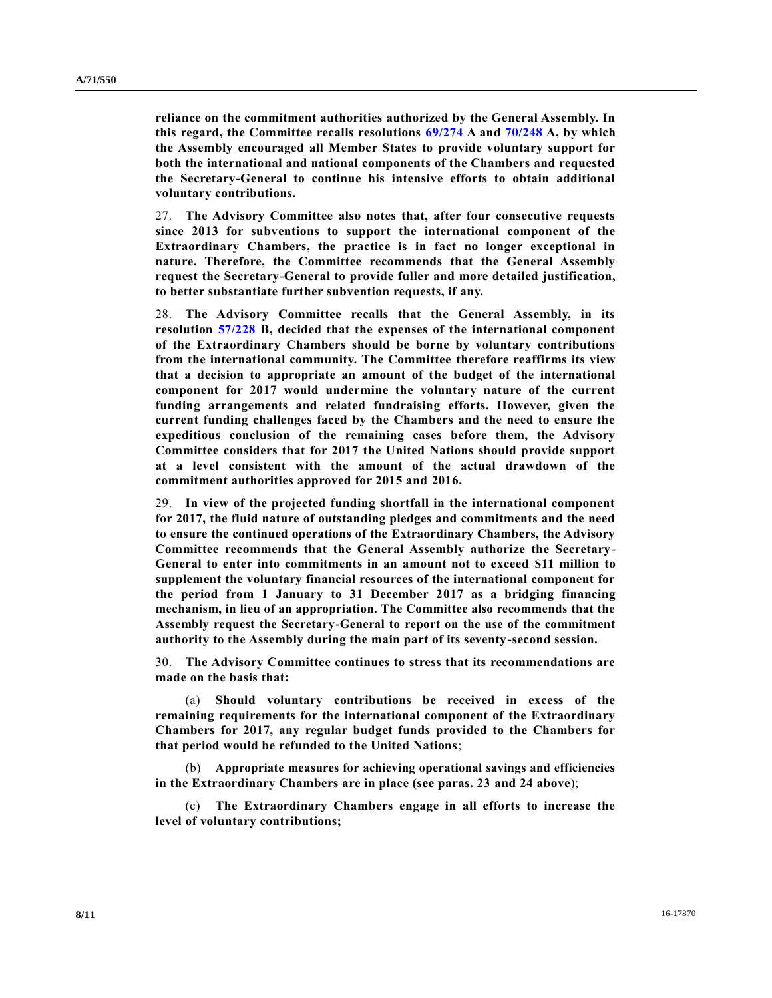**reliance on the commitment authorities authorized by the General Assembly. In this regard, the Committee recalls resolutions [69/274](http://undocs.org/A/RES/69/274) A and [70/248](http://undocs.org/A/RES/70/248) A, by which the Assembly encouraged all Member States to provide voluntary support for both the international and national components of the Chambers and requested the Secretary-General to continue his intensive efforts to obtain additional voluntary contributions.**

27. **The Advisory Committee also notes that, after four consecutive requests since 2013 for subventions to support the international component of the Extraordinary Chambers, the practice is in fact no longer exceptional in nature. Therefore, the Committee recommends that the General Assembly request the Secretary-General to provide fuller and more detailed justification, to better substantiate further subvention requests, if any.**

28. **The Advisory Committee recalls that the General Assembly, in its resolution [57/228](http://undocs.org/A/RES/57/228) B, decided that the expenses of the international component of the Extraordinary Chambers should be borne by voluntary contributions from the international community. The Committee therefore reaffirms its view that a decision to appropriate an amount of the budget of the international component for 2017 would undermine the voluntary nature of the current funding arrangements and related fundraising efforts. However, given the current funding challenges faced by the Chambers and the need to ensure the expeditious conclusion of the remaining cases before them, the Advisory Committee considers that for 2017 the United Nations should provide support at a level consistent with the amount of the actual drawdown of the commitment authorities approved for 2015 and 2016.**

29. **In view of the projected funding shortfall in the international component for 2017, the fluid nature of outstanding pledges and commitments and the need to ensure the continued operations of the Extraordinary Chambers, the Advisory Committee recommends that the General Assembly authorize the Secretary-General to enter into commitments in an amount not to exceed \$11 million to supplement the voluntary financial resources of the international component for the period from 1 January to 31 December 2017 as a bridging financing mechanism, in lieu of an appropriation. The Committee also recommends that the Assembly request the Secretary-General to report on the use of the commitment authority to the Assembly during the main part of its seventy-second session.**

30. **The Advisory Committee continues to stress that its recommendations are made on the basis that:**

(a) **Should voluntary contributions be received in excess of the remaining requirements for the international component of the Extraordinary Chambers for 2017, any regular budget funds provided to the Chambers for that period would be refunded to the United Nations**;

(b) **Appropriate measures for achieving operational savings and efficiencies in the Extraordinary Chambers are in place (see paras. 23 and 24 above**);

(c) **The Extraordinary Chambers engage in all efforts to increase the level of voluntary contributions;**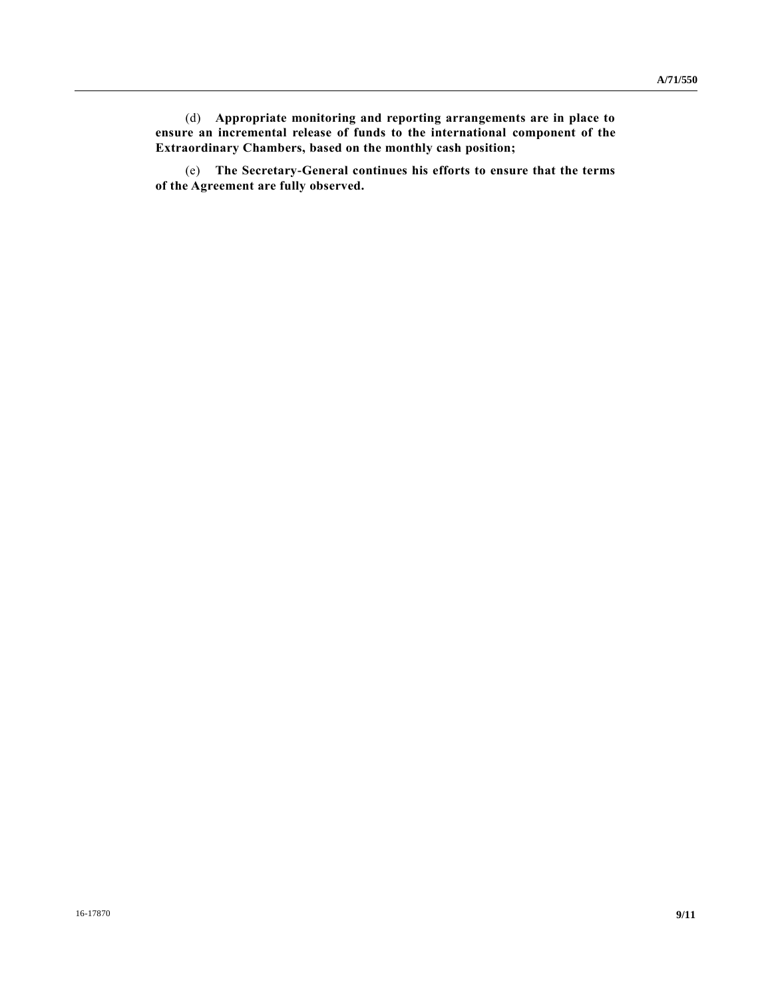(d) **Appropriate monitoring and reporting arrangements are in place to ensure an incremental release of funds to the international component of the Extraordinary Chambers, based on the monthly cash position;**

(e) **The Secretary-General continues his efforts to ensure that the terms of the Agreement are fully observed.**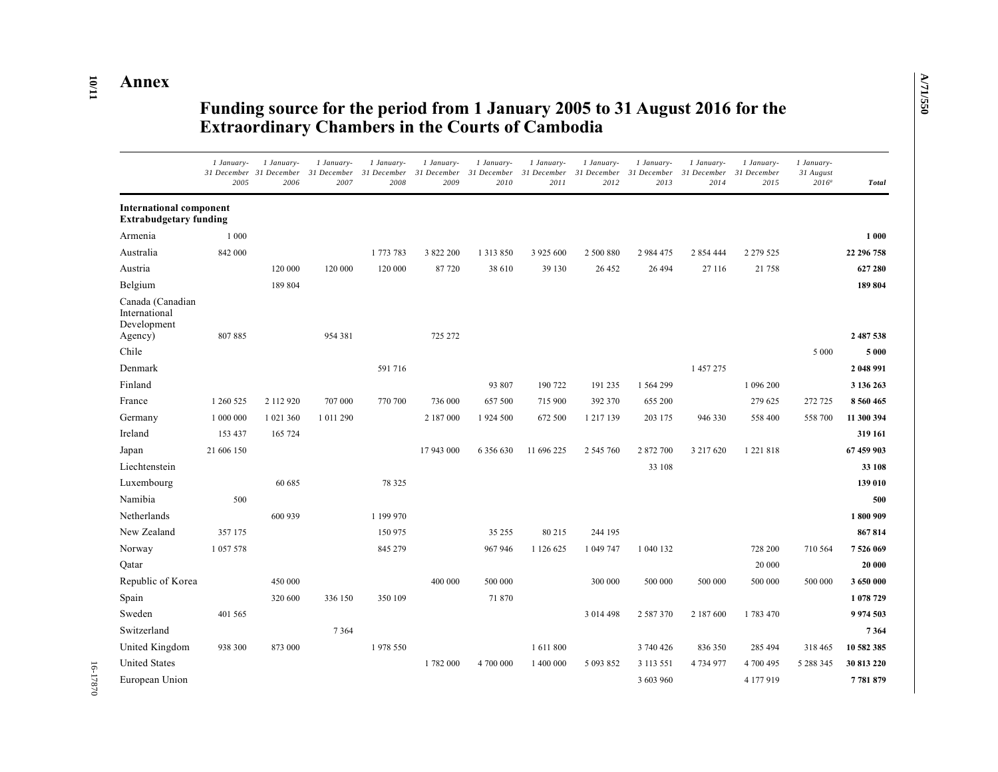# **Annex**

**10**

**/11**

## **Funding source for the period from 1 January 2005 to 31 August 2016 for the Extraordinary Chambers in the Courts of Cambodia**

|                                                                 | 1 January-<br>2005 | 1 January-<br>31 December 31 December<br>2006 | 1 January-<br>31 December<br>2007 | 1 January-<br>31 December<br>2008 | 1 January-<br>31 December<br>2009 | 1 January-<br>31 December<br>2010 | 1 January-<br>31 December<br>2011 | 1 January-<br>31 December<br>2012 | 1 January-<br>31 December<br>2013 | 1 January-<br>31 December<br>2014 | 1 January-<br>31 December<br>2015 | 1 January-<br>31 August<br>$2016^a$ | <b>Total</b>  |
|-----------------------------------------------------------------|--------------------|-----------------------------------------------|-----------------------------------|-----------------------------------|-----------------------------------|-----------------------------------|-----------------------------------|-----------------------------------|-----------------------------------|-----------------------------------|-----------------------------------|-------------------------------------|---------------|
| <b>International component</b><br><b>Extrabudgetary funding</b> |                    |                                               |                                   |                                   |                                   |                                   |                                   |                                   |                                   |                                   |                                   |                                     |               |
| Armenia                                                         | 1 0 0 0            |                                               |                                   |                                   |                                   |                                   |                                   |                                   |                                   |                                   |                                   |                                     | 1 000         |
| Australia                                                       | 842 000            |                                               |                                   | 1 773 783                         | 3 822 200                         | 1 3 1 3 8 5 0                     | 3 925 600                         | 2 500 880                         | 2 984 475                         | 2 854 444                         | 2 2 7 9 5 2 5                     |                                     | 22 296 758    |
| Austria                                                         |                    | 120 000                                       | 120 000                           | 120 000                           | 87 720                            | 38 610                            | 39 130                            | 26 452                            | 26 494                            | 27 116                            | 21 758                            |                                     | 627 280       |
| Belgium                                                         |                    | 189 804                                       |                                   |                                   |                                   |                                   |                                   |                                   |                                   |                                   |                                   |                                     | 189 804       |
| Canada (Canadian<br>International<br>Development<br>Agency)     | 807885             |                                               | 954 381                           |                                   | 725 272                           |                                   |                                   |                                   |                                   |                                   |                                   |                                     | 2 487 538     |
| Chile                                                           |                    |                                               |                                   |                                   |                                   |                                   |                                   |                                   |                                   |                                   |                                   | 5 0 0 0                             | 5 0 0 0       |
| Denmark                                                         |                    |                                               |                                   | 591 716                           |                                   |                                   |                                   |                                   |                                   | 1 457 275                         |                                   |                                     | 2 048 991     |
| Finland                                                         |                    |                                               |                                   |                                   |                                   | 93 807                            | 190 722                           | 191 235                           | 1 564 299                         |                                   | 1 096 200                         |                                     | 3 136 263     |
| France                                                          | 1 260 525          | 2 112 920                                     | 707 000                           | 770 700                           | 736 000                           | 657 500                           | 715 900                           | 392 370                           | 655 200                           |                                   | 279 625                           | 272 725                             | 8 5 6 0 4 6 5 |
| Germany                                                         | 1 000 000          | 1 021 360                                     | 1 011 290                         |                                   | 2 187 000                         | 1 924 500                         | 672 500                           | 1 217 139                         | 203 175                           | 946 330                           | 558 400                           | 558 700                             | 11 300 394    |
| Ireland                                                         | 153 437            | 165 724                                       |                                   |                                   |                                   |                                   |                                   |                                   |                                   |                                   |                                   |                                     | 319 161       |
| Japan                                                           | 21 606 150         |                                               |                                   |                                   | 17 943 000                        | 6 356 630                         | 11 696 225                        | 2 545 760                         | 2 872 700                         | 3 217 620                         | 1 2 2 1 8 1 8                     |                                     | 67 459 903    |
| Liechtenstein                                                   |                    |                                               |                                   |                                   |                                   |                                   |                                   |                                   | 33 108                            |                                   |                                   |                                     | 33 108        |
| Luxembourg                                                      |                    | 60 685                                        |                                   | 78 3 25                           |                                   |                                   |                                   |                                   |                                   |                                   |                                   |                                     | 139 010       |
| Namibia                                                         | 500                |                                               |                                   |                                   |                                   |                                   |                                   |                                   |                                   |                                   |                                   |                                     | 500           |
| Netherlands                                                     |                    | 600 939                                       |                                   | 1 199 970                         |                                   |                                   |                                   |                                   |                                   |                                   |                                   |                                     | 1800909       |
| New Zealand                                                     | 357 175            |                                               |                                   | 150 975                           |                                   | 35 255                            | 80 215                            | 244 195                           |                                   |                                   |                                   |                                     | 867814        |
| Norway                                                          | 1 0 5 7 5 7 8      |                                               |                                   | 845 279                           |                                   | 967 946                           | 1 126 625                         | 1 049 747                         | 1 040 132                         |                                   | 728 200                           | 710 564                             | 7526069       |
| Qatar                                                           |                    |                                               |                                   |                                   |                                   |                                   |                                   |                                   |                                   |                                   | 20 000                            |                                     | 20 000        |
| Republic of Korea                                               |                    | 450 000                                       |                                   |                                   | 400 000                           | 500 000                           |                                   | 300 000                           | 500 000                           | 500 000                           | 500 000                           | 500 000                             | 3 650 000     |
| Spain                                                           |                    | 320 600                                       | 336 150                           | 350 109                           |                                   | 71 870                            |                                   |                                   |                                   |                                   |                                   |                                     | 1 078 729     |
| Sweden                                                          | 401 565            |                                               |                                   |                                   |                                   |                                   |                                   | 3 014 498                         | 2 587 370                         | 2 187 600                         | 1783470                           |                                     | 9 9 7 4 5 0 3 |
| Switzerland                                                     |                    |                                               | 7 3 6 4                           |                                   |                                   |                                   |                                   |                                   |                                   |                                   |                                   |                                     | 7364          |
| United Kingdom                                                  | 938 300            | 873 000                                       |                                   | 1978 550                          |                                   |                                   | 1 611 800                         |                                   | 3 740 426                         | 836 350                           | 285 494                           | 318 465                             | 10 582 385    |
| <b>United States</b>                                            |                    |                                               |                                   |                                   | 1782 000                          | 4 700 000                         | 1 400 000                         | 5 093 852                         | 3 113 551                         | 4734977                           | 4 700 495                         | 5 288 345                           | 30 813 220    |
| European Union                                                  |                    |                                               |                                   |                                   |                                   |                                   |                                   |                                   | 3 603 960                         |                                   | 4 177 919                         |                                     | 7781879       |